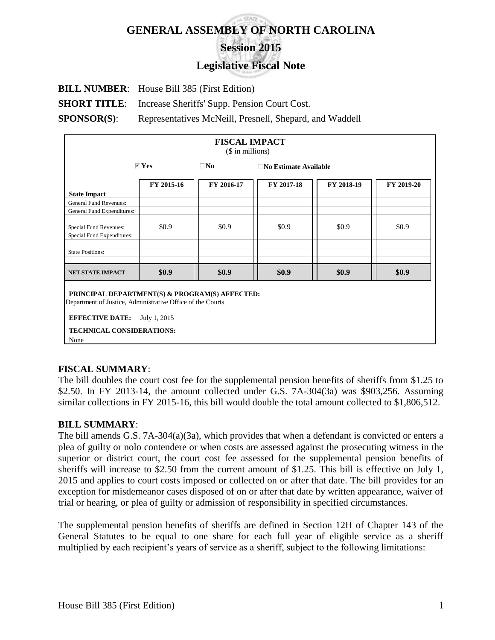# **GENERAL ASSEMBLY OF NORTH CAROLINA Session 2015**

# **Legislative Fiscal Note**

**BILL NUMBER**: House Bill 385 (First Edition)

**SHORT TITLE:** Increase Sheriffs' Supp. Pension Court Cost.

**SPONSOR(S):** Representatives McNeill, Presnell, Shepard, and Waddell

| <b>FISCAL IMPACT</b><br>(\$ in millions)                                                                                                                                                           |                             |            |                              |            |            |  |
|----------------------------------------------------------------------------------------------------------------------------------------------------------------------------------------------------|-----------------------------|------------|------------------------------|------------|------------|--|
|                                                                                                                                                                                                    | $\overline{\mathbf{y}}$ Yes |            | $\Box$ No Estimate Available |            |            |  |
|                                                                                                                                                                                                    | FY 2015-16                  | FY 2016-17 | FY 2017-18                   | FY 2018-19 | FY 2019-20 |  |
| <b>State Impact</b>                                                                                                                                                                                |                             |            |                              |            |            |  |
| <b>General Fund Revenues:</b>                                                                                                                                                                      |                             |            |                              |            |            |  |
| General Fund Expenditures:                                                                                                                                                                         |                             |            |                              |            |            |  |
| Special Fund Revenues:                                                                                                                                                                             | \$0.9                       | \$0.9      | \$0.9                        | \$0.9      | \$0.9      |  |
| Special Fund Expenditures:                                                                                                                                                                         |                             |            |                              |            |            |  |
| <b>State Positions:</b>                                                                                                                                                                            |                             |            |                              |            |            |  |
| <b>NET STATE IMPACT</b>                                                                                                                                                                            | \$0.9                       | \$0.9      | \$0.9                        | \$0.9      | \$0.9      |  |
| PRINCIPAL DEPARTMENT(S) & PROGRAM(S) AFFECTED:<br>Department of Justice, Administrative Office of the Courts<br><b>EFFECTIVE DATE:</b><br>July 1, 2015<br><b>TECHNICAL CONSIDERATIONS:</b><br>None |                             |            |                              |            |            |  |

## **FISCAL SUMMARY**:

The bill doubles the court cost fee for the supplemental pension benefits of sheriffs from \$1.25 to \$2.50. In FY 2013-14, the amount collected under G.S. 7A-304(3a) was \$903,256. Assuming similar collections in FY 2015-16, this bill would double the total amount collected to \$1,806,512.

#### **BILL SUMMARY**:

The bill amends G.S. 7A-304(a)(3a), which provides that when a defendant is convicted or enters a plea of guilty or nolo contendere or when costs are assessed against the prosecuting witness in the superior or district court, the court cost fee assessed for the supplemental pension benefits of sheriffs will increase to \$2.50 from the current amount of \$1.25. This bill is effective on July 1, 2015 and applies to court costs imposed or collected on or after that date. The bill provides for an exception for misdemeanor cases disposed of on or after that date by written appearance, waiver of trial or hearing, or plea of guilty or admission of responsibility in specified circumstances.

The supplemental pension benefits of sheriffs are defined in Section 12H of Chapter 143 of the General Statutes to be equal to one share for each full year of eligible service as a sheriff multiplied by each recipient's years of service as a sheriff, subject to the following limitations: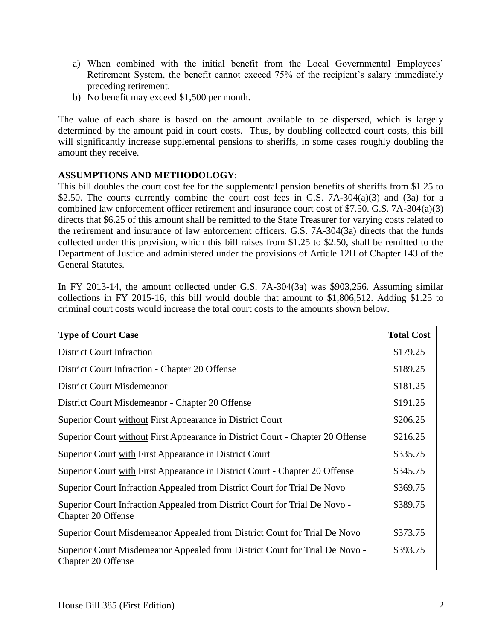- a) When combined with the initial benefit from the Local Governmental Employees' Retirement System, the benefit cannot exceed 75% of the recipient's salary immediately preceding retirement.
- b) No benefit may exceed \$1,500 per month.

The value of each share is based on the amount available to be dispersed, which is largely determined by the amount paid in court costs. Thus, by doubling collected court costs, this bill will significantly increase supplemental pensions to sheriffs, in some cases roughly doubling the amount they receive.

# **ASSUMPTIONS AND METHODOLOGY**:

This bill doubles the court cost fee for the supplemental pension benefits of sheriffs from \$1.25 to \$2.50. The courts currently combine the court cost fees in G.S.  $7A-304(a)(3)$  and  $(3a)$  for a combined law enforcement officer retirement and insurance court cost of \$7.50. G.S. 7A-304(a)(3) directs that \$6.25 of this amount shall be remitted to the State Treasurer for varying costs related to the retirement and insurance of law enforcement officers. G.S. 7A-304(3a) directs that the funds collected under this provision, which this bill raises from \$1.25 to \$2.50, shall be remitted to the Department of Justice and administered under the provisions of Article 12H of Chapter 143 of the General Statutes.

In FY 2013-14, the amount collected under G.S. 7A-304(3a) was \$903,256. Assuming similar collections in FY 2015-16, this bill would double that amount to \$1,806,512. Adding \$1.25 to criminal court costs would increase the total court costs to the amounts shown below.

| <b>Type of Court Case</b>                                                                                | <b>Total Cost</b> |
|----------------------------------------------------------------------------------------------------------|-------------------|
| <b>District Court Infraction</b>                                                                         | \$179.25          |
| District Court Infraction - Chapter 20 Offense                                                           | \$189.25          |
| <b>District Court Misdemeanor</b>                                                                        | \$181.25          |
| District Court Misdemeanor - Chapter 20 Offense                                                          | \$191.25          |
| Superior Court without First Appearance in District Court                                                | \$206.25          |
| Superior Court without First Appearance in District Court - Chapter 20 Offense                           | \$216.25          |
| Superior Court with First Appearance in District Court                                                   | \$335.75          |
| Superior Court with First Appearance in District Court - Chapter 20 Offense                              | \$345.75          |
| Superior Court Infraction Appealed from District Court for Trial De Novo                                 | \$369.75          |
| Superior Court Infraction Appealed from District Court for Trial De Novo -<br><b>Chapter 20 Offense</b>  | \$389.75          |
| Superior Court Misdemeanor Appealed from District Court for Trial De Novo                                | \$373.75          |
| Superior Court Misdemeanor Appealed from District Court for Trial De Novo -<br><b>Chapter 20 Offense</b> | \$393.75          |